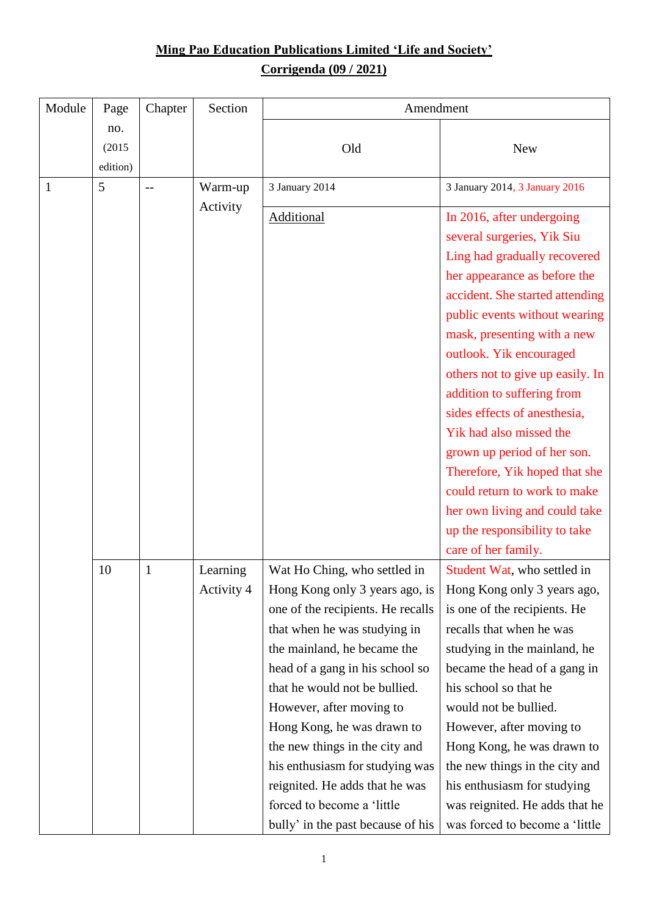## **Ming Pao Education Publications Limited 'Life and Society' Corrigenda (09 / 2021)**

| Module | Page                      | Chapter      | Section    | Amendment                         |                                  |  |
|--------|---------------------------|--------------|------------|-----------------------------------|----------------------------------|--|
|        | no.<br>(2015)<br>edition) |              |            | Old                               | <b>New</b>                       |  |
| 1      | 5                         | $-$          | Warm-up    | 3 January 2014                    | 3 January 2014, 3 January 2016   |  |
|        |                           |              | Activity   | <b>Additional</b>                 | In 2016, after undergoing        |  |
|        |                           |              |            |                                   | several surgeries, Yik Siu       |  |
|        |                           |              |            |                                   | Ling had gradually recovered     |  |
|        |                           |              |            |                                   | her appearance as before the     |  |
|        |                           |              |            |                                   | accident. She started attending  |  |
|        |                           |              |            |                                   | public events without wearing    |  |
|        |                           |              |            |                                   | mask, presenting with a new      |  |
|        |                           |              |            |                                   | outlook. Yik encouraged          |  |
|        |                           |              |            |                                   | others not to give up easily. In |  |
|        |                           |              |            |                                   | addition to suffering from       |  |
|        |                           |              |            |                                   | sides effects of anesthesia,     |  |
|        |                           |              |            |                                   | Yik had also missed the          |  |
|        |                           |              |            |                                   | grown up period of her son.      |  |
|        |                           |              |            |                                   | Therefore, Yik hoped that she    |  |
|        |                           |              |            |                                   | could return to work to make     |  |
|        |                           |              |            |                                   | her own living and could take    |  |
|        |                           |              |            |                                   | up the responsibility to take    |  |
|        |                           |              |            |                                   | care of her family.              |  |
|        | 10                        | $\mathbf{1}$ | Learning   | Wat Ho Ching, who settled in      | Student Wat, who settled in      |  |
|        |                           |              | Activity 4 | Hong Kong only 3 years ago, is    | Hong Kong only 3 years ago,      |  |
|        |                           |              |            | one of the recipients. He recalls | is one of the recipients. He     |  |
|        |                           |              |            | that when he was studying in      | recalls that when he was         |  |
|        |                           |              |            | the mainland, he became the       | studying in the mainland, he     |  |
|        |                           |              |            | head of a gang in his school so   | became the head of a gang in     |  |
|        |                           |              |            | that he would not be bullied.     | his school so that he            |  |
|        |                           |              |            | However, after moving to          | would not be bullied.            |  |
|        |                           |              |            | Hong Kong, he was drawn to        | However, after moving to         |  |
|        |                           |              |            | the new things in the city and    | Hong Kong, he was drawn to       |  |
|        |                           |              |            | his enthusiasm for studying was   | the new things in the city and   |  |
|        |                           |              |            | reignited. He adds that he was    | his enthusiasm for studying      |  |
|        |                           |              |            | forced to become a 'little        | was reignited. He adds that he   |  |
|        |                           |              |            | bully' in the past because of his | was forced to become a 'little   |  |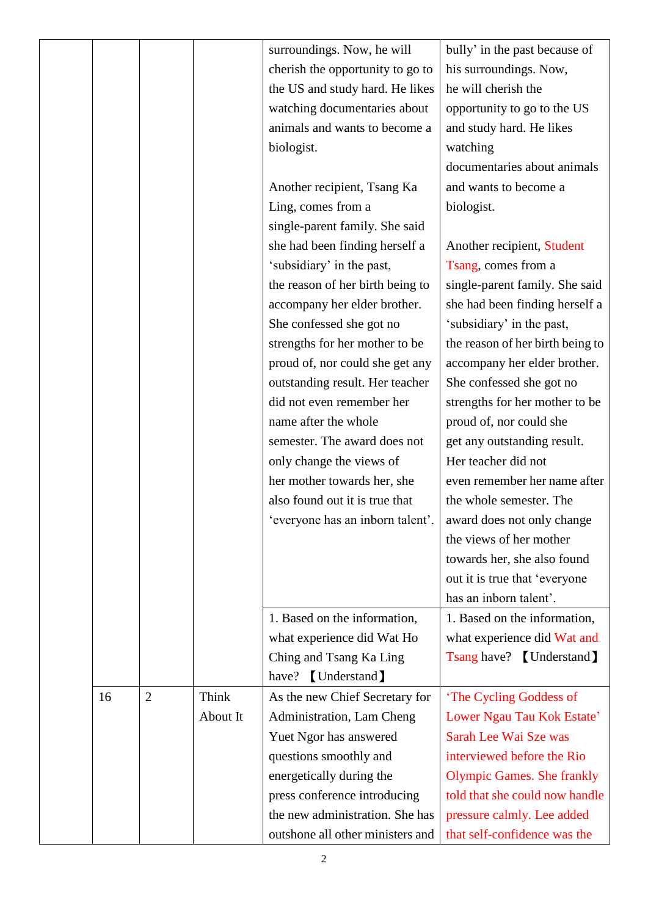|    |                |              | surroundings. Now, he will       | bully' in the past because of     |
|----|----------------|--------------|----------------------------------|-----------------------------------|
|    |                |              | cherish the opportunity to go to | his surroundings. Now,            |
|    |                |              | the US and study hard. He likes  | he will cherish the               |
|    |                |              | watching documentaries about     | opportunity to go to the US       |
|    |                |              | animals and wants to become a    | and study hard. He likes          |
|    |                |              | biologist.                       | watching                          |
|    |                |              |                                  | documentaries about animals       |
|    |                |              | Another recipient, Tsang Ka      | and wants to become a             |
|    |                |              | Ling, comes from a               | biologist.                        |
|    |                |              | single-parent family. She said   |                                   |
|    |                |              | she had been finding herself a   | Another recipient, Student        |
|    |                |              | 'subsidiary' in the past,        | Tsang, comes from a               |
|    |                |              | the reason of her birth being to | single-parent family. She said    |
|    |                |              | accompany her elder brother.     | she had been finding herself a    |
|    |                |              | She confessed she got no         | 'subsidiary' in the past,         |
|    |                |              | strengths for her mother to be   | the reason of her birth being to  |
|    |                |              | proud of, nor could she get any  | accompany her elder brother.      |
|    |                |              | outstanding result. Her teacher  | She confessed she got no          |
|    |                |              | did not even remember her        | strengths for her mother to be    |
|    |                |              |                                  |                                   |
|    |                |              | name after the whole             | proud of, nor could she           |
|    |                |              | semester. The award does not     | get any outstanding result.       |
|    |                |              | only change the views of         | Her teacher did not               |
|    |                |              | her mother towards her, she      | even remember her name after      |
|    |                |              | also found out it is true that   | the whole semester. The           |
|    |                |              | 'everyone has an inborn talent'. | award does not only change        |
|    |                |              |                                  | the views of her mother           |
|    |                |              |                                  | towards her, she also found       |
|    |                |              |                                  | out it is true that 'everyone     |
|    |                |              |                                  | has an inborn talent'.            |
|    |                |              | 1. Based on the information,     | 1. Based on the information,      |
|    |                |              | what experience did Wat Ho       | what experience did Wat and       |
|    |                |              | Ching and Tsang Ka Ling          | Tsang have? [Understand]          |
|    |                |              | [Understand]<br>have?            |                                   |
| 16 | $\overline{2}$ | <b>Think</b> | As the new Chief Secretary for   | 'The Cycling Goddess of           |
|    |                | About It     | Administration, Lam Cheng        | Lower Ngau Tau Kok Estate'        |
|    |                |              | Yuet Ngor has answered           | Sarah Lee Wai Sze was             |
|    |                |              | questions smoothly and           | interviewed before the Rio        |
|    |                |              | energetically during the         | <b>Olympic Games. She frankly</b> |
|    |                |              |                                  | told that she could now handle    |
|    |                |              | press conference introducing     |                                   |
|    |                |              | the new administration. She has  | pressure calmly. Lee added        |
|    |                |              | outshone all other ministers and | that self-confidence was the      |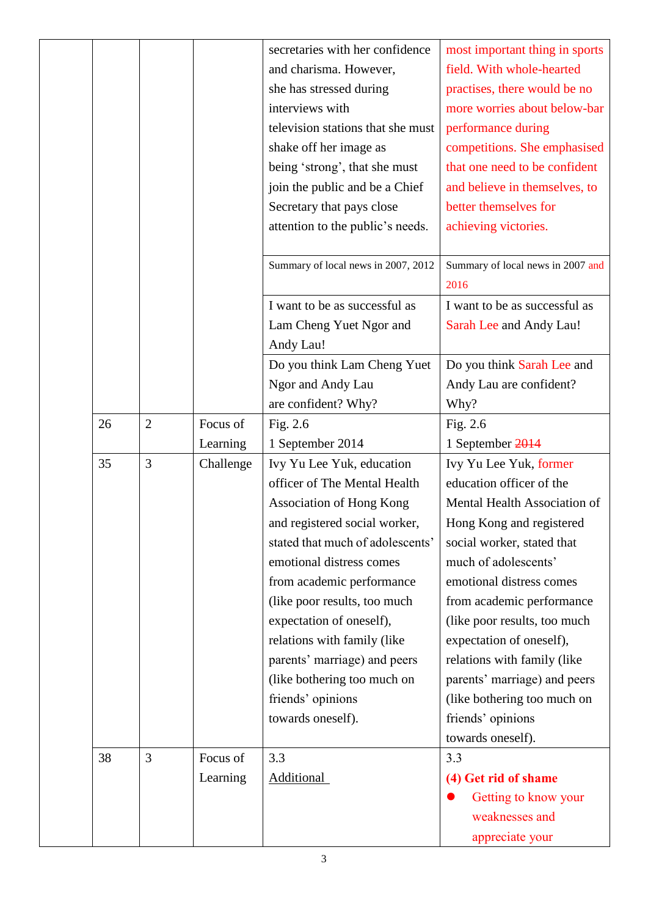|    |                |           | secretaries with her confidence     | most important thing in sports    |
|----|----------------|-----------|-------------------------------------|-----------------------------------|
|    |                |           | and charisma. However,              | field. With whole-hearted         |
|    |                |           | she has stressed during             | practises, there would be no      |
|    |                |           | interviews with                     | more worries about below-bar      |
|    |                |           | television stations that she must   | performance during                |
|    |                |           | shake off her image as              | competitions. She emphasised      |
|    |                |           | being 'strong', that she must       | that one need to be confident     |
|    |                |           | join the public and be a Chief      | and believe in themselves, to     |
|    |                |           | Secretary that pays close           | better themselves for             |
|    |                |           | attention to the public's needs.    | achieving victories.              |
|    |                |           |                                     |                                   |
|    |                |           | Summary of local news in 2007, 2012 | Summary of local news in 2007 and |
|    |                |           |                                     | 2016                              |
|    |                |           | I want to be as successful as       | I want to be as successful as     |
|    |                |           | Lam Cheng Yuet Ngor and             | Sarah Lee and Andy Lau!           |
|    |                |           | Andy Lau!                           |                                   |
|    |                |           | Do you think Lam Cheng Yuet         | Do you think Sarah Lee and        |
|    |                |           | Ngor and Andy Lau                   | Andy Lau are confident?           |
|    |                |           | are confident? Why?                 | Why?                              |
| 26 | $\overline{2}$ | Focus of  | Fig. 2.6                            | Fig. 2.6                          |
|    |                | Learning  | 1 September 2014                    | 1 September 2014                  |
| 35 | 3              | Challenge | Ivy Yu Lee Yuk, education           | Ivy Yu Lee Yuk, former            |
|    |                |           | officer of The Mental Health        | education officer of the          |
|    |                |           | Association of Hong Kong            | Mental Health Association of      |
|    |                |           | and registered social worker,       | Hong Kong and registered          |
|    |                |           | stated that much of adolescents'    | social worker, stated that        |
|    |                |           | emotional distress comes            | much of adolescents'              |
|    |                |           | from academic performance           | emotional distress comes          |
|    |                |           | (like poor results, too much        | from academic performance         |
|    |                |           | expectation of oneself),            | (like poor results, too much      |
|    |                |           | relations with family (like         | expectation of oneself),          |
|    |                |           | parents' marriage) and peers        | relations with family (like       |
|    |                |           | (like bothering too much on         | parents' marriage) and peers      |
|    |                |           | friends' opinions                   | (like bothering too much on       |
|    |                |           | towards oneself).                   | friends' opinions                 |
|    |                |           |                                     | towards oneself).                 |
| 38 | 3              | Focus of  | 3.3                                 | 3.3                               |
|    |                | Learning  | <b>Additional</b>                   | (4) Get rid of shame              |
|    |                |           |                                     | Getting to know your              |
|    |                |           |                                     | weaknesses and                    |
|    |                |           |                                     | appreciate your                   |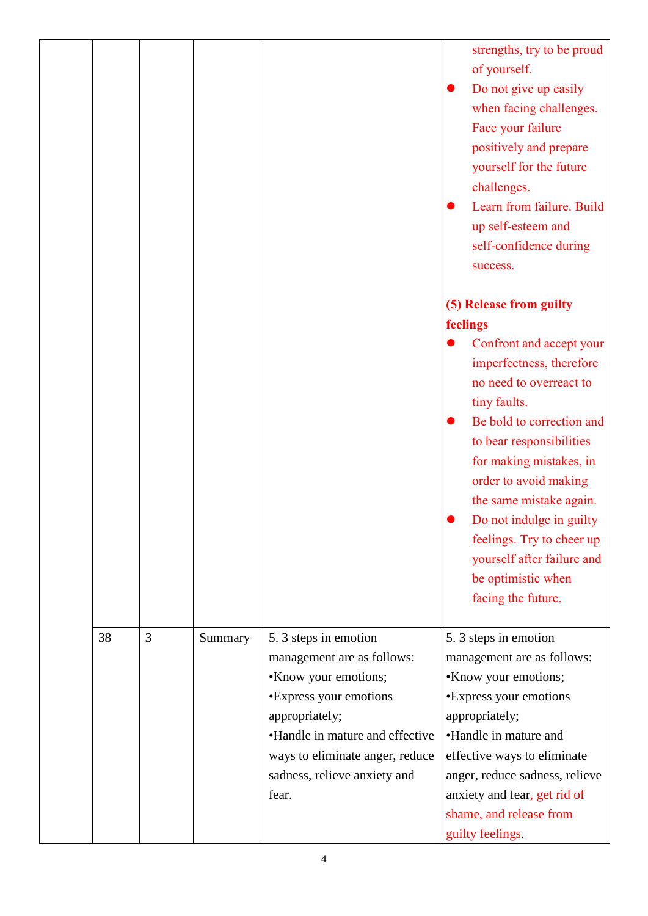|    |   |         |                                                                                                                                                                                                               | strengths, try to be proud<br>of yourself.<br>Do not give up easily<br>when facing challenges.<br>Face your failure<br>positively and prepare<br>yourself for the future<br>challenges.<br>Learn from failure. Build<br>up self-esteem and<br>self-confidence during<br>success.                                                                                 |
|----|---|---------|---------------------------------------------------------------------------------------------------------------------------------------------------------------------------------------------------------------|------------------------------------------------------------------------------------------------------------------------------------------------------------------------------------------------------------------------------------------------------------------------------------------------------------------------------------------------------------------|
|    |   |         |                                                                                                                                                                                                               | (5) Release from guilty                                                                                                                                                                                                                                                                                                                                          |
|    |   |         |                                                                                                                                                                                                               |                                                                                                                                                                                                                                                                                                                                                                  |
|    |   |         |                                                                                                                                                                                                               | feelings<br>Confront and accept your<br>imperfectness, therefore<br>no need to overreact to<br>tiny faults.<br>Be bold to correction and<br>to bear responsibilities<br>for making mistakes, in<br>order to avoid making<br>the same mistake again.<br>Do not indulge in guilty<br>feelings. Try to cheer up<br>yourself after failure and<br>be optimistic when |
|    |   |         |                                                                                                                                                                                                               | facing the future.                                                                                                                                                                                                                                                                                                                                               |
| 38 | 3 | Summary | 5.3 steps in emotion                                                                                                                                                                                          | 5. 3 steps in emotion                                                                                                                                                                                                                                                                                                                                            |
|    |   |         | management are as follows:<br>•Know your emotions;<br>•Express your emotions<br>appropriately;<br>•Handle in mature and effective<br>ways to eliminate anger, reduce<br>sadness, relieve anxiety and<br>fear. | management are as follows:<br>•Know your emotions;<br><b>·Express your emotions</b><br>appropriately;<br>•Handle in mature and<br>effective ways to eliminate<br>anger, reduce sadness, relieve<br>anxiety and fear, get rid of<br>shame, and release from<br>guilty feelings.                                                                                   |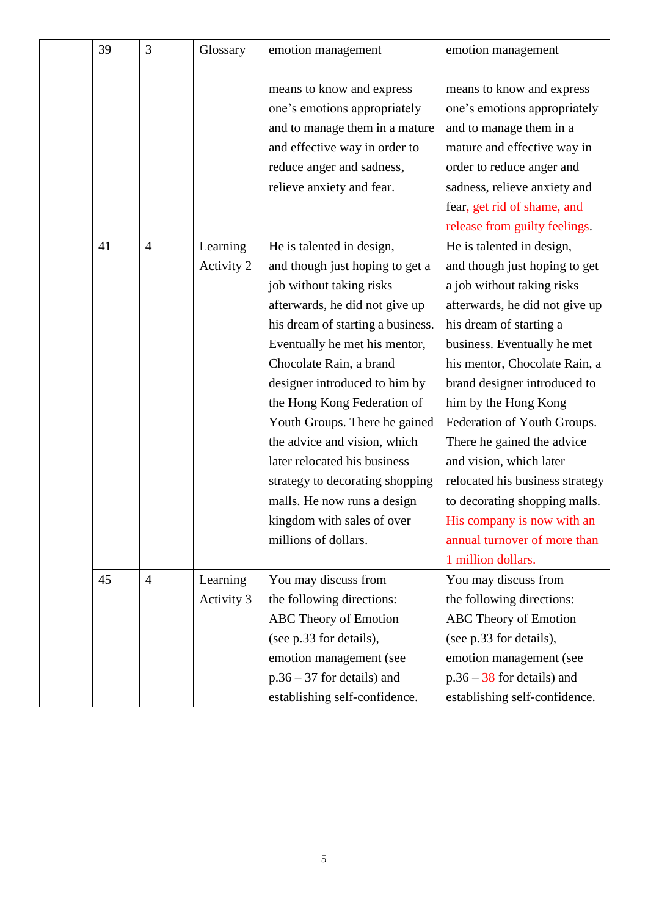| 39 | 3              | Glossary   | emotion management                                                                                                                                        | emotion management                                                                                                                               |
|----|----------------|------------|-----------------------------------------------------------------------------------------------------------------------------------------------------------|--------------------------------------------------------------------------------------------------------------------------------------------------|
|    |                |            | means to know and express<br>one's emotions appropriately<br>and to manage them in a mature<br>and effective way in order to<br>reduce anger and sadness, | means to know and express<br>one's emotions appropriately<br>and to manage them in a<br>mature and effective way in<br>order to reduce anger and |
|    |                |            | relieve anxiety and fear.                                                                                                                                 | sadness, relieve anxiety and                                                                                                                     |
|    |                |            |                                                                                                                                                           | fear, get rid of shame, and<br>release from guilty feelings.                                                                                     |
| 41 | $\overline{4}$ | Learning   | He is talented in design,                                                                                                                                 | He is talented in design,                                                                                                                        |
|    |                | Activity 2 | and though just hoping to get a<br>job without taking risks                                                                                               | and though just hoping to get<br>a job without taking risks                                                                                      |
|    |                |            | afterwards, he did not give up                                                                                                                            | afterwards, he did not give up                                                                                                                   |
|    |                |            | his dream of starting a business.                                                                                                                         | his dream of starting a                                                                                                                          |
|    |                |            | Eventually he met his mentor,                                                                                                                             | business. Eventually he met                                                                                                                      |
|    |                |            | Chocolate Rain, a brand                                                                                                                                   | his mentor, Chocolate Rain, a                                                                                                                    |
|    |                |            | designer introduced to him by                                                                                                                             | brand designer introduced to                                                                                                                     |
|    |                |            | the Hong Kong Federation of                                                                                                                               | him by the Hong Kong                                                                                                                             |
|    |                |            | Youth Groups. There he gained                                                                                                                             | Federation of Youth Groups.                                                                                                                      |
|    |                |            | the advice and vision, which                                                                                                                              | There he gained the advice                                                                                                                       |
|    |                |            | later relocated his business                                                                                                                              | and vision, which later                                                                                                                          |
|    |                |            | strategy to decorating shopping                                                                                                                           | relocated his business strategy                                                                                                                  |
|    |                |            | malls. He now runs a design                                                                                                                               | to decorating shopping malls.                                                                                                                    |
|    |                |            | kingdom with sales of over                                                                                                                                | His company is now with an                                                                                                                       |
|    |                |            | millions of dollars.                                                                                                                                      | annual turnover of more than                                                                                                                     |
|    |                |            |                                                                                                                                                           | 1 million dollars.                                                                                                                               |
| 45 | $\overline{4}$ | Learning   | You may discuss from                                                                                                                                      | You may discuss from                                                                                                                             |
|    |                | Activity 3 | the following directions:                                                                                                                                 | the following directions:                                                                                                                        |
|    |                |            | ABC Theory of Emotion                                                                                                                                     | ABC Theory of Emotion                                                                                                                            |
|    |                |            | (see p.33 for details),                                                                                                                                   | (see p.33 for details),                                                                                                                          |
|    |                |            | emotion management (see                                                                                                                                   | emotion management (see                                                                                                                          |
|    |                |            | $p.36 - 37$ for details) and                                                                                                                              | $p.36 - 38$ for details) and                                                                                                                     |
|    |                |            | establishing self-confidence.                                                                                                                             | establishing self-confidence.                                                                                                                    |